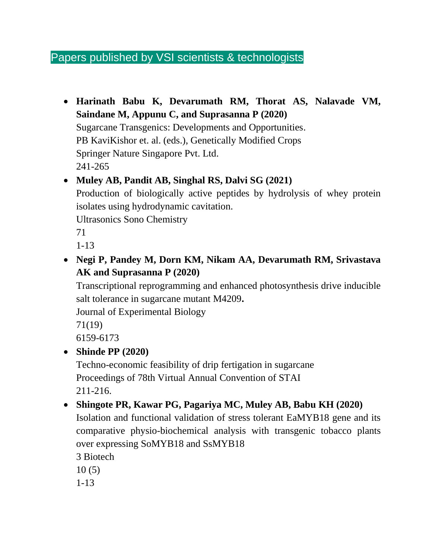## Papers published by VSI scientists & technologists

• **Harinath Babu K, Devarumath RM, Thorat AS, Nalavade VM, Saindane M, Appunu C, and Suprasanna P (2020)** Sugarcane Transgenics: Developments and Opportunities. PB KaviKishor et. al. (eds.), Genetically Modified Crops Springer Nature Singapore Pvt. Ltd. 241-265

#### • **Muley AB, Pandit AB, Singhal RS, Dalvi SG (2021)**

Production of biologically active peptides by hydrolysis of whey protein isolates using hydrodynamic cavitation.

Ultrasonics Sono Chemistry

71

1-13

• **Negi P, Pandey M, Dorn KM, Nikam AA, Devarumath RM, Srivastava AK and Suprasanna P (2020)**

Transcriptional reprogramming and enhanced photosynthesis drive inducible salt tolerance in sugarcane mutant M4209**.** 

Journal of Experimental Biology

71(19)

6159-6173

#### • **Shinde PP (2020)**

Techno-economic feasibility of drip fertigation in sugarcane Proceedings of 78th Virtual Annual Convention of STAI 211-216.

### • **Shingote PR, Kawar PG, Pagariya MC, Muley AB, Babu KH (2020)**

Isolation and functional validation of stress tolerant EaMYB18 gene and its comparative physio-biochemical analysis with transgenic tobacco plants over expressing SoMYB18 and SsMYB18

3 Biotech

10 (5)

1-13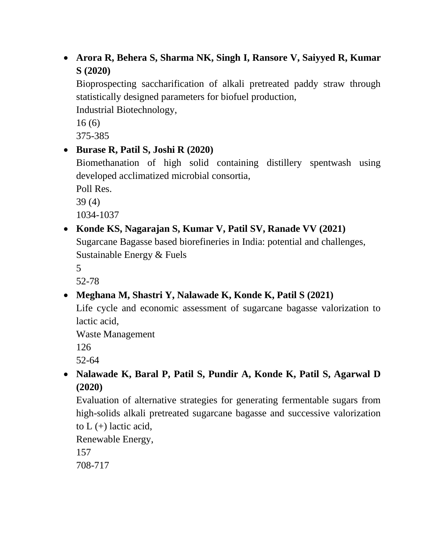# • **Arora R, Behera S, Sharma NK, Singh I, Ransore V, Saiyyed R, Kumar S (2020)**

Bioprospecting saccharification of alkali pretreated paddy straw through statistically designed parameters for biofuel production,

Industrial Biotechnology,

16 (6)

375-385

# • **Burase R, Patil S, Joshi R (2020)**

Biomethanation of high solid containing distillery spentwash using developed acclimatized microbial consortia,

Poll Res. 39 (4)

1034-1037

## • **Konde KS, Nagarajan S, Kumar V, Patil SV, Ranade VV (2021)**

Sugarcane Bagasse based biorefineries in India: potential and challenges, Sustainable Energy & Fuels

5

52-78

# • **Meghana M, Shastri Y, Nalawade K, Konde K, Patil S (2021)**

Life cycle and economic assessment of sugarcane bagasse valorization to lactic acid,

Waste Management

126

52-64

## • **Nalawade K, Baral P, Patil S, Pundir A, Konde K, Patil S, Agarwal D (2020)**

Evaluation of alternative strategies for generating fermentable sugars from high-solids alkali pretreated sugarcane bagasse and successive valorization to  $L$  (+) lactic acid,

Renewable Energy,

157 708-717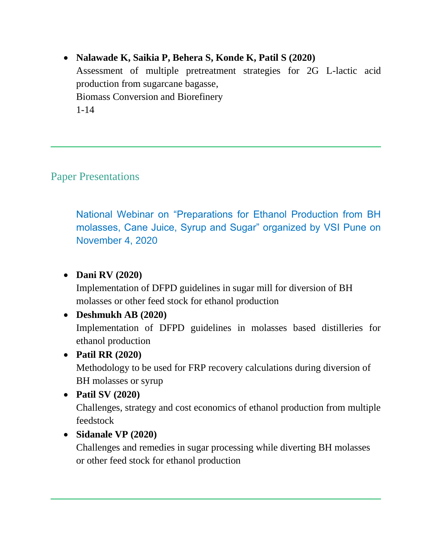• **Nalawade K, Saikia P, Behera S, Konde K, Patil S (2020)** Assessment of multiple pretreatment strategies for 2G L-lactic acid production from sugarcane bagasse, Biomass Conversion and Biorefinery 1-14

## Paper Presentations

National Webinar on "Preparations for Ethanol Production from BH molasses, Cane Juice, Syrup and Sugar" organized by VSI Pune on November 4, 2020

#### • **Dani RV (2020)**

Implementation of DFPD guidelines in sugar mill for diversion of BH molasses or other feed stock for ethanol production

### • **Deshmukh AB (2020)**

Implementation of DFPD guidelines in molasses based distilleries for ethanol production

### • **Patil RR (2020)**

Methodology to be used for FRP recovery calculations during diversion of BH molasses or syrup

#### • **Patil SV (2020)**

Challenges, strategy and cost economics of ethanol production from multiple feedstock

#### • **Sidanale VP (2020)**

Challenges and remedies in sugar processing while diverting BH molasses or other feed stock for ethanol production